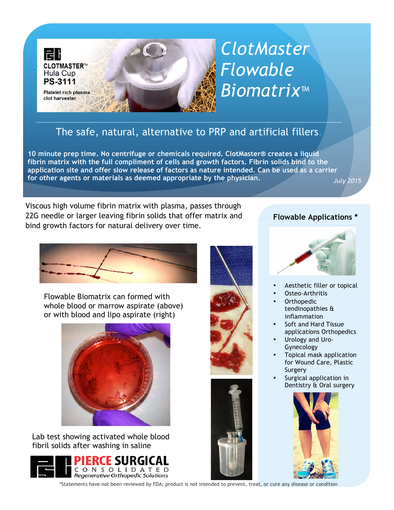

# *ClotMaster Flowable Biomatrix™*

## The safe, natural, alternative to PRP and artificial fillers.

**10 minute prep time. No centrifuge or chemicals required. ClotMaster® creates a liquid fibrin matrix with the full compliment of cells and growth factors. Fibrin solids bind to the application site and offer slow release of factors as nature intended. Can be used as a carrier for other agents or materials as deemed appropriate by the physician.** *July 2015*

Viscous high volume fibrin matrix with plasma, passes through 22G needle or larger leaving fibrin solids that offer matrix and bind growth factors for natural delivery over time.

Flowable Biomatrix can formed with whole blood or marrow aspirate (above) or with blood and lipo aspirate (right)



Lab test showing activated whole blood fibril solids after washing in saline









### **Flowable Applications \***



- Aesthetic filler or topical
- Osteo-Arthritis
- **Orthopedic** tendinopathies & inflammation
- Soft and Hard Tissue applications Orthopedics
- Urology and Uro-Gynecology
- Topical mask application for Wound Care, Plastic Surgery
- Surgical application in Dentistry & Oral surgery



\*Statements have not been reviewed by FDA; product is not intended to prevent, treat, or cure any disease or condition